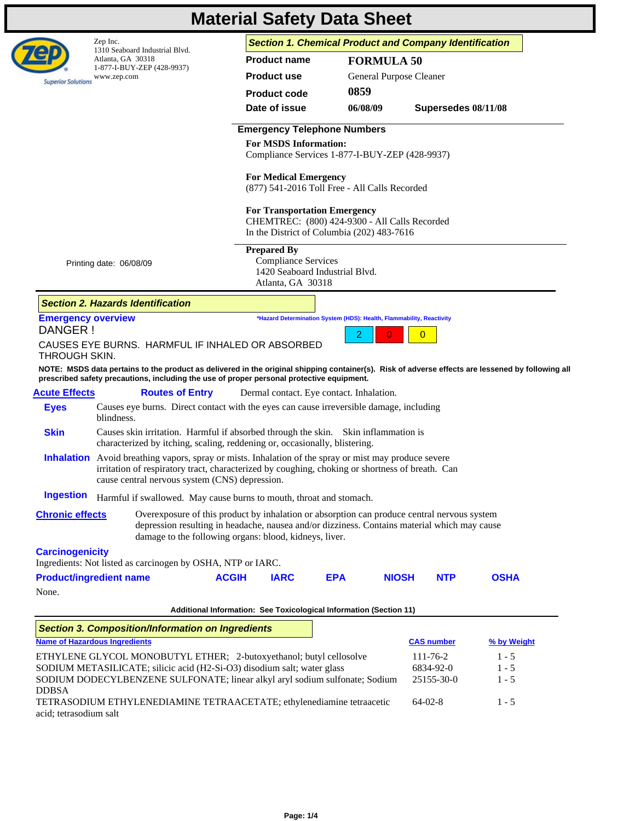|                                          |                                                     |                                                                                                                                                                                                                                                                          |              |                                                                                                                                    | <b>Material Safety Data Sheet</b> |                         |                     |             |  |
|------------------------------------------|-----------------------------------------------------|--------------------------------------------------------------------------------------------------------------------------------------------------------------------------------------------------------------------------------------------------------------------------|--------------|------------------------------------------------------------------------------------------------------------------------------------|-----------------------------------|-------------------------|---------------------|-------------|--|
|                                          | Zep Inc.                                            |                                                                                                                                                                                                                                                                          |              | <b>Section 1. Chemical Product and Company Identification</b>                                                                      |                                   |                         |                     |             |  |
|                                          | 1310 Seaboard Industrial Blvd.<br>Atlanta, GA 30318 |                                                                                                                                                                                                                                                                          |              | <b>Product name</b>                                                                                                                |                                   | <b>FORMULA 50</b>       |                     |             |  |
| <b>Superior Solutions</b>                | 1-877-I-BUY-ZEP (428-9937)<br>www.zep.com           |                                                                                                                                                                                                                                                                          |              | <b>Product use</b>                                                                                                                 |                                   | General Purpose Cleaner |                     |             |  |
|                                          |                                                     |                                                                                                                                                                                                                                                                          |              | <b>Product code</b>                                                                                                                | 0859                              |                         |                     |             |  |
|                                          |                                                     |                                                                                                                                                                                                                                                                          |              | Date of issue                                                                                                                      | 06/08/09                          |                         | Supersedes 08/11/08 |             |  |
|                                          |                                                     |                                                                                                                                                                                                                                                                          |              | <b>Emergency Telephone Numbers</b>                                                                                                 |                                   |                         |                     |             |  |
|                                          |                                                     |                                                                                                                                                                                                                                                                          |              | <b>For MSDS Information:</b><br>Compliance Services 1-877-I-BUY-ZEP (428-9937)                                                     |                                   |                         |                     |             |  |
|                                          |                                                     |                                                                                                                                                                                                                                                                          |              | <b>For Medical Emergency</b><br>(877) 541-2016 Toll Free - All Calls Recorded                                                      |                                   |                         |                     |             |  |
|                                          |                                                     |                                                                                                                                                                                                                                                                          |              | <b>For Transportation Emergency</b><br>CHEMTREC: (800) 424-9300 - All Calls Recorded<br>In the District of Columbia (202) 483-7616 |                                   |                         |                     |             |  |
|                                          | Printing date: 06/08/09                             |                                                                                                                                                                                                                                                                          |              | <b>Prepared By</b><br><b>Compliance Services</b><br>1420 Seaboard Industrial Blvd.<br>Atlanta, GA 30318                            |                                   |                         |                     |             |  |
|                                          | <b>Section 2. Hazards Identification</b>            |                                                                                                                                                                                                                                                                          |              |                                                                                                                                    |                                   |                         |                     |             |  |
| <b>Emergency overview</b>                |                                                     |                                                                                                                                                                                                                                                                          |              | *Hazard Determination System (HDS): Health, Flammability, Reactivity                                                               |                                   |                         |                     |             |  |
| DANGER!                                  |                                                     |                                                                                                                                                                                                                                                                          |              |                                                                                                                                    |                                   | O                       |                     |             |  |
|                                          |                                                     | CAUSES EYE BURNS. HARMFUL IF INHALED OR ABSORBED                                                                                                                                                                                                                         |              |                                                                                                                                    |                                   |                         |                     |             |  |
| <b>THROUGH SKIN.</b>                     |                                                     | NOTE: MSDS data pertains to the product as delivered in the original shipping container(s). Risk of adverse effects are lessened by following all<br>prescribed safety precautions, including the use of proper personal protective equipment.<br><b>Routes of Entry</b> |              | Dermal contact. Eye contact. Inhalation.                                                                                           |                                   |                         |                     |             |  |
| <b>Eyes</b>                              | blindness.                                          | Causes eye burns. Direct contact with the eyes can cause irreversible damage, including                                                                                                                                                                                  |              |                                                                                                                                    |                                   |                         |                     |             |  |
| <b>Skin</b>                              |                                                     | Causes skin irritation. Harmful if absorbed through the skin. Skin inflammation is<br>characterized by itching, scaling, reddening or, occasionally, blistering.                                                                                                         |              |                                                                                                                                    |                                   |                         |                     |             |  |
|                                          |                                                     | <b>Inhalation</b> Avoid breathing vapors, spray or mists. Inhalation of the spray or mist may produce severe<br>irritation of respiratory tract, characterized by coughing, choking or shortness of breath. Can<br>cause central nervous system (CNS) depression.        |              |                                                                                                                                    |                                   |                         |                     |             |  |
| <b>Acute Effects</b><br><b>Ingestion</b> |                                                     | Harmful if swallowed. May cause burns to mouth, throat and stomach.                                                                                                                                                                                                      |              |                                                                                                                                    |                                   |                         |                     |             |  |
| <b>Chronic effects</b>                   |                                                     | Overexposure of this product by inhalation or absorption can produce central nervous system<br>depression resulting in headache, nausea and/or dizziness. Contains material which may cause<br>damage to the following organs: blood, kidneys, liver.                    |              |                                                                                                                                    |                                   |                         |                     |             |  |
| <b>Carcinogenicity</b>                   |                                                     |                                                                                                                                                                                                                                                                          |              |                                                                                                                                    |                                   |                         |                     |             |  |
|                                          |                                                     | Ingredients: Not listed as carcinogen by OSHA, NTP or IARC.                                                                                                                                                                                                              |              |                                                                                                                                    |                                   |                         |                     |             |  |
| <b>Product/ingredient name</b><br>None.  |                                                     |                                                                                                                                                                                                                                                                          | <b>ACGIH</b> | <b>IARC</b>                                                                                                                        | <b>EPA</b>                        | <b>NIOSH</b>            | <b>NTP</b>          | <b>OSHA</b> |  |
|                                          |                                                     |                                                                                                                                                                                                                                                                          |              |                                                                                                                                    |                                   |                         |                     |             |  |
|                                          |                                                     |                                                                                                                                                                                                                                                                          |              | Additional Information: See Toxicological Information (Section 11)                                                                 |                                   |                         |                     |             |  |
| <b>Name of Hazardous Ingredients</b>     |                                                     | <b>Section 3. Composition/Information on Ingredients</b>                                                                                                                                                                                                                 |              |                                                                                                                                    |                                   |                         | <b>CAS number</b>   | % by Weight |  |
|                                          |                                                     | ETHYLENE GLYCOL MONOBUTYL ETHER; 2-butoxyethanol; butyl cellosolve                                                                                                                                                                                                       |              |                                                                                                                                    |                                   |                         | 111-76-2            | $1 - 5$     |  |
|                                          |                                                     | SODIUM METASILICATE; silicic acid (H2-Si-O3) disodium salt; water glass                                                                                                                                                                                                  |              |                                                                                                                                    |                                   |                         | 6834-92-0           | $1 - 5$     |  |
| <b>DDBSA</b>                             |                                                     | SODIUM DODECYLBENZENE SULFONATE; linear alkyl aryl sodium sulfonate; Sodium                                                                                                                                                                                              |              |                                                                                                                                    |                                   |                         | 25155-30-0          | $1 - 5$     |  |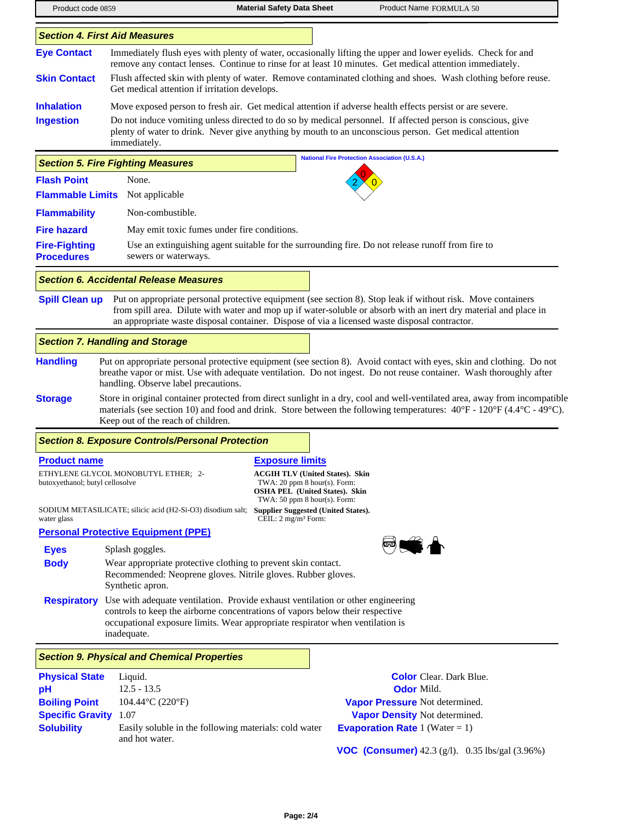| Product code 0859                                                    |                                                                                                                                                                                                                                                                  | <b>Material Safety Data Sheet</b>                                                                                                                   | Product Name FORMULA 50                                                                                                                                                                                                                                                                                                           |
|----------------------------------------------------------------------|------------------------------------------------------------------------------------------------------------------------------------------------------------------------------------------------------------------------------------------------------------------|-----------------------------------------------------------------------------------------------------------------------------------------------------|-----------------------------------------------------------------------------------------------------------------------------------------------------------------------------------------------------------------------------------------------------------------------------------------------------------------------------------|
|                                                                      | <b>Section 4. First Aid Measures</b>                                                                                                                                                                                                                             |                                                                                                                                                     |                                                                                                                                                                                                                                                                                                                                   |
| <b>Eye Contact</b>                                                   |                                                                                                                                                                                                                                                                  |                                                                                                                                                     | Immediately flush eyes with plenty of water, occasionally lifting the upper and lower eyelids. Check for and<br>remove any contact lenses. Continue to rinse for at least 10 minutes. Get medical attention immediately.                                                                                                          |
| <b>Skin Contact</b>                                                  | Get medical attention if irritation develops.                                                                                                                                                                                                                    |                                                                                                                                                     | Flush affected skin with plenty of water. Remove contaminated clothing and shoes. Wash clothing before reuse.                                                                                                                                                                                                                     |
| <b>Inhalation</b>                                                    |                                                                                                                                                                                                                                                                  |                                                                                                                                                     | Move exposed person to fresh air. Get medical attention if adverse health effects persist or are severe.                                                                                                                                                                                                                          |
| <b>Ingestion</b>                                                     | immediately.                                                                                                                                                                                                                                                     |                                                                                                                                                     | Do not induce vomiting unless directed to do so by medical personnel. If affected person is conscious, give<br>plenty of water to drink. Never give anything by mouth to an unconscious person. Get medical attention                                                                                                             |
|                                                                      | <b>Section 5. Fire Fighting Measures</b>                                                                                                                                                                                                                         |                                                                                                                                                     | <b>National Fire Protection Association (U.S.A.)</b>                                                                                                                                                                                                                                                                              |
| <b>Flash Point</b>                                                   | None.                                                                                                                                                                                                                                                            |                                                                                                                                                     |                                                                                                                                                                                                                                                                                                                                   |
| <b>Flammable Limits</b>                                              | Not applicable                                                                                                                                                                                                                                                   |                                                                                                                                                     |                                                                                                                                                                                                                                                                                                                                   |
| <b>Flammability</b>                                                  | Non-combustible.                                                                                                                                                                                                                                                 |                                                                                                                                                     |                                                                                                                                                                                                                                                                                                                                   |
| <b>Fire hazard</b>                                                   | May emit toxic fumes under fire conditions.                                                                                                                                                                                                                      |                                                                                                                                                     |                                                                                                                                                                                                                                                                                                                                   |
| <b>Fire-Fighting</b><br><b>Procedures</b>                            | sewers or waterways.                                                                                                                                                                                                                                             |                                                                                                                                                     | Use an extinguishing agent suitable for the surrounding fire. Do not release runoff from fire to                                                                                                                                                                                                                                  |
|                                                                      | <b>Section 6. Accidental Release Measures</b>                                                                                                                                                                                                                    |                                                                                                                                                     |                                                                                                                                                                                                                                                                                                                                   |
| <b>Spill Clean up</b>                                                |                                                                                                                                                                                                                                                                  |                                                                                                                                                     | Put on appropriate personal protective equipment (see section 8). Stop leak if without risk. Move containers<br>from spill area. Dilute with water and mop up if water-soluble or absorb with an inert dry material and place in<br>an appropriate waste disposal container. Dispose of via a licensed waste disposal contractor. |
|                                                                      | <b>Section 7. Handling and Storage</b>                                                                                                                                                                                                                           |                                                                                                                                                     |                                                                                                                                                                                                                                                                                                                                   |
| <b>Handling</b>                                                      | handling. Observe label precautions.                                                                                                                                                                                                                             |                                                                                                                                                     | Put on appropriate personal protective equipment (see section 8). Avoid contact with eyes, skin and clothing. Do not<br>breathe vapor or mist. Use with adequate ventilation. Do not ingest. Do not reuse container. Wash thoroughly after                                                                                        |
| <b>Storage</b>                                                       | Keep out of the reach of children.                                                                                                                                                                                                                               |                                                                                                                                                     | Store in original container protected from direct sunlight in a dry, cool and well-ventilated area, away from incompatible<br>materials (see section 10) and food and drink. Store between the following temperatures: $40^{\circ}F - 120^{\circ}F (4.4^{\circ}C - 49^{\circ}C)$ .                                                |
|                                                                      | <b>Section 8. Exposure Controls/Personal Protection</b>                                                                                                                                                                                                          |                                                                                                                                                     |                                                                                                                                                                                                                                                                                                                                   |
| <b>Product name</b>                                                  |                                                                                                                                                                                                                                                                  | <b>Exposure limits</b>                                                                                                                              |                                                                                                                                                                                                                                                                                                                                   |
| butoxyethanol; butyl cellosolve                                      | ETHYLENE GLYCOL MONOBUTYL ETHER; 2-                                                                                                                                                                                                                              | <b>ACGIH TLV (United States). Skin</b><br>TWA: 20 ppm 8 hour(s). Form:<br><b>OSHA PEL (United States). Skin</b><br>TWA: $50$ ppm $8$ hour(s). Form: |                                                                                                                                                                                                                                                                                                                                   |
| water glass                                                          | SODIUM METASILICATE; silicic acid (H2-Si-O3) disodium salt;                                                                                                                                                                                                      | <b>Supplier Suggested (United States).</b><br>CEIL: 2 mg/m <sup>3</sup> Form:                                                                       |                                                                                                                                                                                                                                                                                                                                   |
|                                                                      | <b>Personal Protective Equipment (PPE)</b>                                                                                                                                                                                                                       |                                                                                                                                                     |                                                                                                                                                                                                                                                                                                                                   |
| <b>Eyes</b><br><b>Body</b>                                           | Splash goggles.<br>Wear appropriate protective clothing to prevent skin contact.<br>Recommended: Neoprene gloves. Nitrile gloves. Rubber gloves.<br>Synthetic apron.                                                                                             |                                                                                                                                                     |                                                                                                                                                                                                                                                                                                                                   |
| <b>Respiratory</b>                                                   | Use with adequate ventilation. Provide exhaust ventilation or other engineering<br>controls to keep the airborne concentrations of vapors below their respective<br>occupational exposure limits. Wear appropriate respirator when ventilation is<br>inadequate. |                                                                                                                                                     |                                                                                                                                                                                                                                                                                                                                   |
|                                                                      | <b>Section 9. Physical and Chemical Properties</b>                                                                                                                                                                                                               |                                                                                                                                                     |                                                                                                                                                                                                                                                                                                                                   |
| <b>Physical State</b><br>pH                                          | Liquid.<br>$12.5 - 13.5$                                                                                                                                                                                                                                         |                                                                                                                                                     | <b>Color</b> Clear. Dark Blue.<br><b>Odor</b> Mild.                                                                                                                                                                                                                                                                               |
| <b>Boiling Point</b><br><b>Specific Gravity</b><br><b>Solubility</b> | 104.44°C (220°F)<br>1.07<br>Easily soluble in the following materials: cold water<br>and hot water.                                                                                                                                                              |                                                                                                                                                     | Vapor Pressure Not determined.<br>Vapor Density Not determined.<br><b>Evaporation Rate</b> 1 (Water = 1)                                                                                                                                                                                                                          |

**VOC (Consumer)** 42.3 (g/l). 0.35 lbs/gal (3.96%)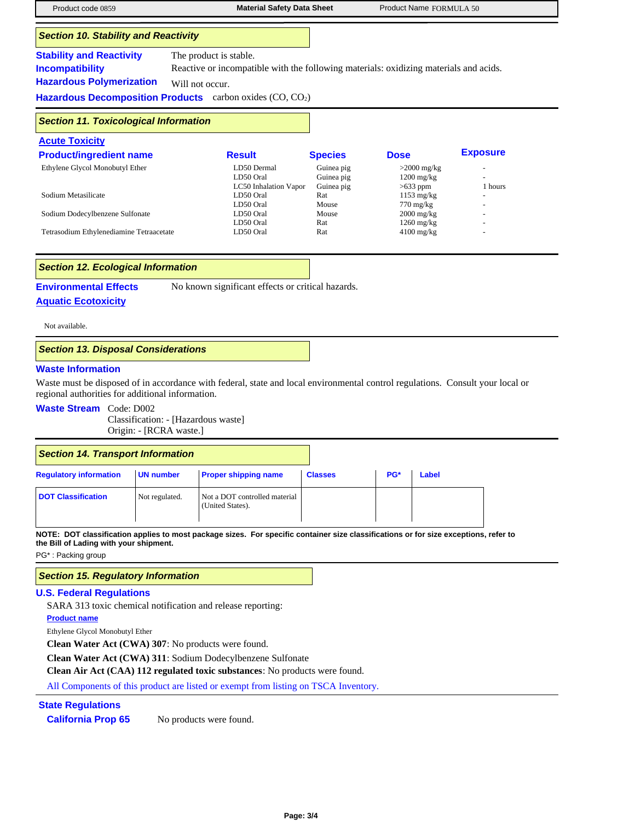| Product code 0859                                                                            | <b>Material Safety Data Sheet</b>                                                                                                                                                                       |                                        | Product Name FORMULA 50                     |                 |  |
|----------------------------------------------------------------------------------------------|---------------------------------------------------------------------------------------------------------------------------------------------------------------------------------------------------------|----------------------------------------|---------------------------------------------|-----------------|--|
| <b>Section 10. Stability and Reactivity</b>                                                  |                                                                                                                                                                                                         |                                        |                                             |                 |  |
| <b>Stability and Reactivity</b><br><b>Incompatibility</b><br><b>Hazardous Polymerization</b> | The product is stable.<br>Reactive or incompatible with the following materials: oxidizing materials and acids.<br>Will not occur.<br><b>Hazardous Decomposition Products</b> carbon oxides $(CO, CO2)$ |                                        |                                             |                 |  |
| <b>Section 11. Toxicological Information</b>                                                 |                                                                                                                                                                                                         |                                        |                                             |                 |  |
| <b>Acute Toxicity</b>                                                                        |                                                                                                                                                                                                         |                                        |                                             |                 |  |
| <b>Product/ingredient name</b>                                                               | <b>Result</b>                                                                                                                                                                                           | <b>Species</b>                         | <b>Dose</b>                                 | <b>Exposure</b> |  |
| Ethylene Glycol Monobutyl Ether                                                              | LD50 Dermal<br>LD50 Oral<br>LC50 Inhalation Vapor                                                                                                                                                       | Guinea pig<br>Guinea pig<br>Guinea pig | $>2000$ mg/kg<br>$1200$ mg/kg<br>$>633$ ppm | 1 hours         |  |
| Sodium Metasilicate                                                                          | LD50 Oral                                                                                                                                                                                               | Rat                                    | $1153 \text{ mg/kg}$                        |                 |  |
|                                                                                              | LD50 Oral                                                                                                                                                                                               | Mouse                                  | $770 \text{ mg/kg}$                         |                 |  |
| Sodium Dodecylbenzene Sulfonate                                                              | LD50 Oral<br>LD50 Oral                                                                                                                                                                                  | Mouse                                  | $2000$ mg/kg                                |                 |  |
| Tetrasodium Ethylenediamine Tetraacetate                                                     | LD50 Oral                                                                                                                                                                                               | Rat<br>Rat                             | $1260$ mg/kg<br>$4100$ mg/kg                |                 |  |

### *Section 12. Ecological Information*

**Environmental Effects** No known significant effects or critical hazards.

# **Aquatic Ecotoxicity**

Not available.

## *Section 13. Disposal Considerations*

#### **Waste Information**

Waste must be disposed of in accordance with federal, state and local environmental control regulations. Consult your local or regional authorities for additional information.

## **Waste Stream** Code: D002

Classification: - [Hazardous waste] Origin: - [RCRA waste.]

| Section 14. Transport Information |                  |                                                   |                |     |       |
|-----------------------------------|------------------|---------------------------------------------------|----------------|-----|-------|
| <b>Regulatory information</b>     | <b>UN number</b> | <b>Proper shipping name</b>                       | <b>Classes</b> | PG* | Label |
| <b>DOT Classification</b>         | Not regulated.   | Not a DOT controlled material<br>(United States). |                |     |       |

**NOTE: DOT classification applies to most package sizes. For specific container size classifications or for size exceptions, refer to the Bill of Lading with your shipment.**

PG\* : Packing group

## *Section 15. Regulatory Information*

#### **U.S. Federal Regulations**

SARA 313 toxic chemical notification and release reporting:

**Product name**

Ethylene Glycol Monobutyl Ether

**Clean Water Act (CWA) 307**: No products were found.

**Clean Water Act (CWA) 311**: Sodium Dodecylbenzene Sulfonate

**Clean Air Act (CAA) 112 regulated toxic substances**: No products were found.

All Components of this product are listed or exempt from listing on TSCA Inventory.

### **State Regulations**

**California Prop 65** No products were found.